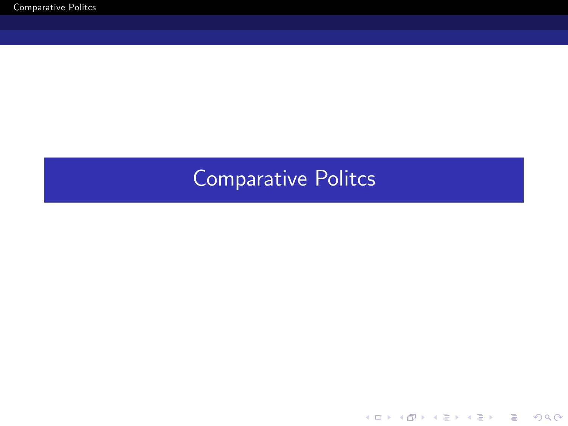<span id="page-0-0"></span>K ロ ▶ K @ ▶ K 할 > K 할 > 1 할 > 1 이익어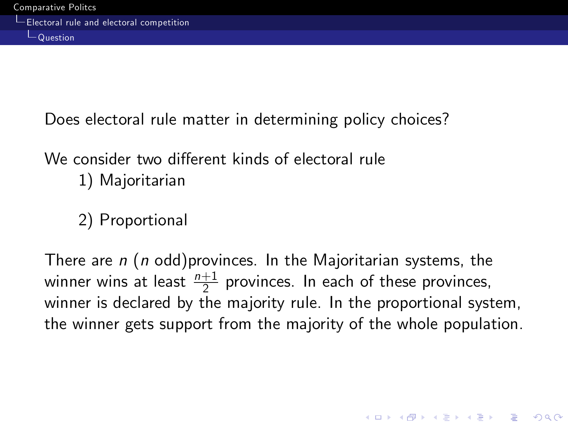Does electoral rule matter in determining policy choices?

### We consider two different kinds of electoral rule 1) Majoritarian

2) Proportional

There are  $n$  (n odd)provinces. In the Majoritarian systems, the winner wins at least  $\frac{n+1}{2}$  provinces. In each of these provinces, winner is declared by the majority rule. In the proportional system, the winner gets support from the majority of the whole population.

**KORKAR KERKER DRAM**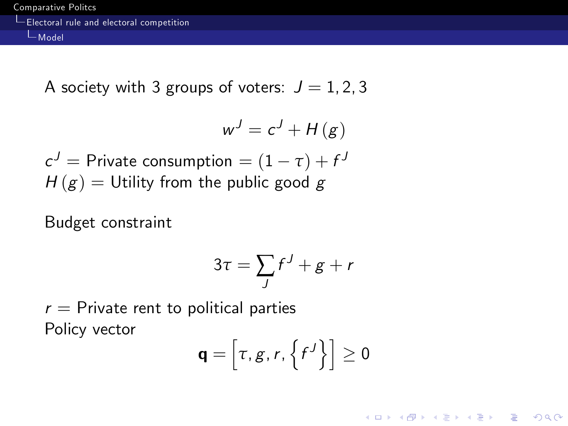A society with 3 groups of voters:  $J = 1, 2, 3$ 

$$
w^J = c^J + H(g)
$$

$$
c^{J} = \text{Private consumption} = (1 - \tau) + f^{J}
$$
  

$$
H(g) = \text{Utility from the public good } g
$$

Budget constraint

$$
3\tau = \sum_{J} f^{J} + g + r
$$

 $r =$  Private rent to political parties Policy vector

$$
\mathbf{q} = \left[ \tau, g, r, \left\{ f^J \right\} \right] \geq 0
$$

K ロ ▶ K @ ▶ K 할 > K 할 > 1 할 > 1 이익어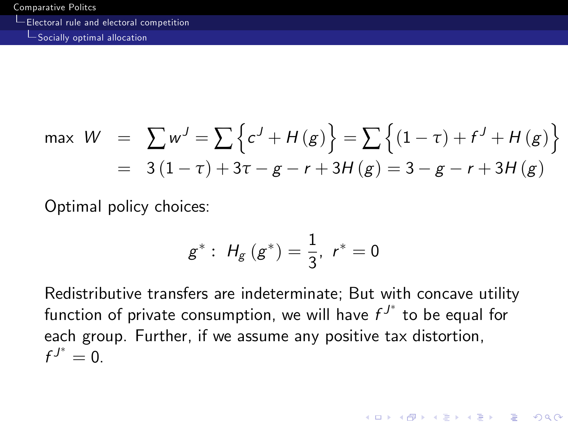Socially optimal allocation

$$
\max W = \sum w^{J} = \sum \{ c^{J} + H(g) \} = \sum \{ (1 - \tau) + f^{J} + H(g) \}
$$
  
= 3(1 - \tau) + 3\tau - g - r + 3H(g) = 3 - g - r + 3H(g)

Optimal policy choices:

$$
g^*: H_g(g^*) = \frac{1}{3}, r^* = 0
$$

Redistributive transfers are indeterminate; But with concave utility function of private consumption, we will have  $f^{J^*}$  to be equal for each group. Further, if we assume any positive tax distortion,  $f^{J^*}=0.$ 

**KORK STRATER STRAKER**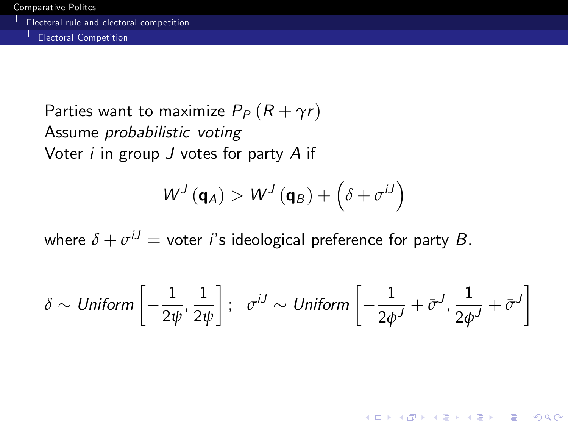Electoral Competition

Parties want to maximize  $P_P(R + \gamma r)$ Assume probabilistic voting Voter  $i$  in group  $J$  votes for party  $A$  if

$$
W^J\left(\mathbf{q}_A\right) > W^J\left(\mathbf{q}_B\right) + \left(\delta + \sigma^{iJ}\right)
$$

where  $\delta + \sigma^{iJ} =$  voter *i*'s ideological preference for party  $B$ .

$$
\delta \sim \text{Uniform}\left[-\frac{1}{2\psi}, \frac{1}{2\psi}\right]; \quad \sigma^{iJ} \sim \text{Uniform}\left[-\frac{1}{2\phi^{J}} + \bar{\sigma}^{J}, \frac{1}{2\phi^{J}} + \bar{\sigma}^{J}\right]
$$

**KORK EXTERICATES**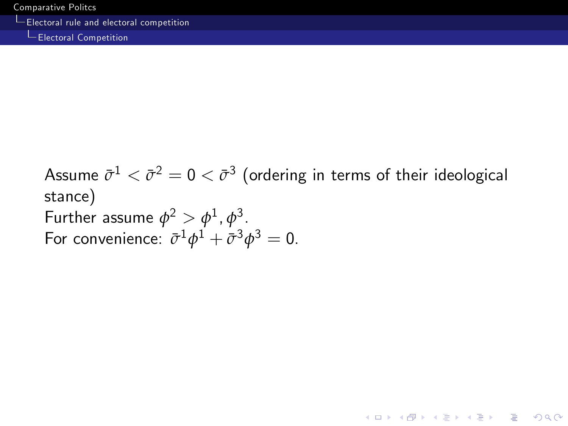**L**Electoral Competition

Assume  $\bar{\sigma}^1<\bar{\sigma}^2=0<\bar{\sigma}^3$  (ordering in terms of their ideological stance) Further assume  $\phi^2 > \phi^1$ ,  $\phi^3$ . For convenience:  $\bar{\sigma}^1 \phi^1 + \bar{\sigma}^3 \phi^3 = 0$ .

**K ロ ▶ K @ ▶ K 할 X X 할 X → 할 X → 9 Q Q ^**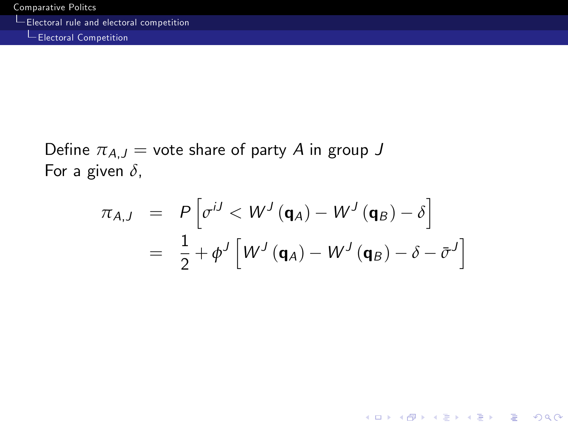Electoral Competition

Define  $\pi_{A,J}$  = vote share of party A in group J For a given *δ*,

$$
\pi_{A,J} = P\left[\sigma^{iJ} < W^{J}\left(\mathbf{q}_{A}\right) - W^{J}\left(\mathbf{q}_{B}\right) - \delta\right]
$$
\n
$$
= \frac{1}{2} + \phi^{J}\left[W^{J}\left(\mathbf{q}_{A}\right) - W^{J}\left(\mathbf{q}_{B}\right) - \delta - \bar{\sigma}^{J}\right]
$$

KO KKOK KEK KEK LE I KORO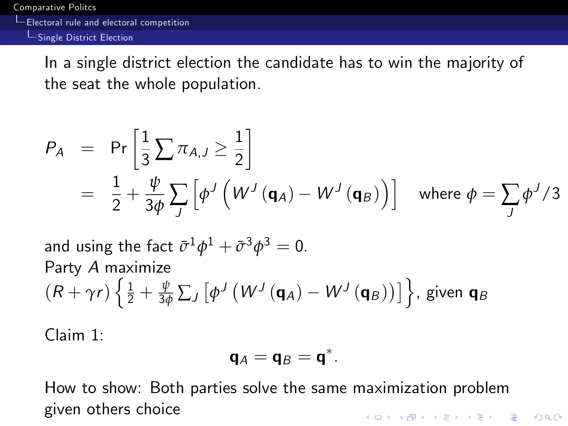Electoral rule and electoral competition

**L**Single District Election

In a single district election the candidate has to win the majority of the seat the whole population.

$$
P_A = \Pr\left[\frac{1}{3}\sum \pi_{A,J} \ge \frac{1}{2}\right]
$$
  
=  $\frac{1}{2} + \frac{\psi}{3\phi} \sum_J \left[\phi^J \left(W^J \left(\mathbf{q}_A\right) - W^J \left(\mathbf{q}_B\right)\right)\right]$  where  $\phi = \sum_J \phi^J / 3$ 

and using the fact  $\bar{\sigma}^1\phi^1+\bar{\sigma}^3\phi^3=0.$ Party A maximize  $(R+\gamma r)\left\{\frac{1}{2}+\frac{\psi}{3\phi}\sum_{J}\left[\phi^{J}\left(W^{J}\left(\mathbf{q}_{A}\right)-W^{J}\left(\mathbf{q}_{B}\right)\right)\right]\right\}$ , given  $\mathbf{q}_{B}$ 

Claim 1:

$$
\mathbf{q}_A = \mathbf{q}_B = \mathbf{q}^*.
$$

How to show: Both parties solve the same maximization problem given others choice**KORKAR KERKER DRAM**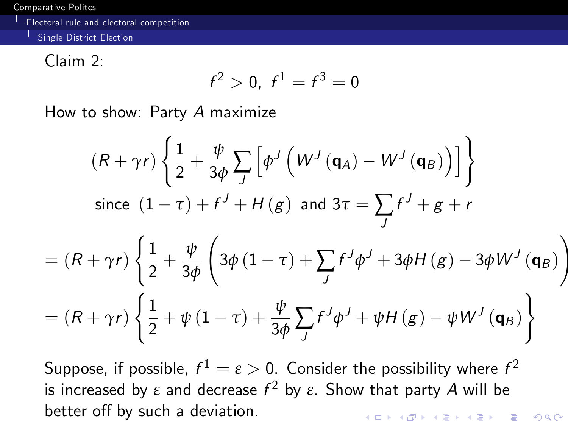Electoral rule and electoral competition

Single District Election

Claim 2:

$$
f^2>0, f^1=f^3=0
$$

How to show: Party A maximize

$$
(R + \gamma r) \left\{ \frac{1}{2} + \frac{\psi}{3\phi} \sum_{J} \left[ \phi^{J} \left( W^{J} \left( \mathbf{q}_{A} \right) - W^{J} \left( \mathbf{q}_{B} \right) \right) \right] \right\}
$$
  
since  $(1 - \tau) + f^{J} + H(g)$  and  $3\tau = \sum_{J} f^{J} + g + r$   

$$
= (R + \gamma r) \left\{ \frac{1}{2} + \frac{\psi}{3\phi} \left( 3\phi (1 - \tau) + \sum_{J} f^{J} \phi^{J} + 3\phi H(g) - 3\phi W^{J} \left( \mathbf{q}_{B} \right) \right) \right\}
$$

$$
= (R + \gamma r) \left\{ \frac{1}{2} + \psi (1 - \tau) + \frac{\psi}{3\phi} \sum_{J} f^{J} \phi^{J} + \psi H(g) - \psi W^{J} \left( \mathbf{q}_{B} \right) \right\}
$$

<span id="page-8-0"></span>Suppose, if possible,  $f^1=\varepsilon>0.$  Consider the possibility where  $f^2$ is increased by  $\varepsilon$  and decrease  $f^2$  by  $\varepsilon$ . Show that party  $A$  will be better off by such a deviation. **KORK STRATER STRAKER**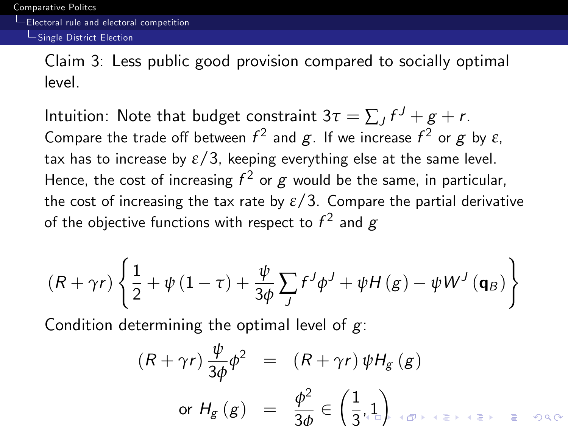### Single District Election

Claim 3: Less public good provision compared to socially optimal level.

Intuition: Note that budget constraint  $3\tau = \sum_{J} f^{J} + g + r$ . Compare the trade off between  $f^2$  and  $g$ . If we increase  $f^2$  or  $g$  by  $\varepsilon$ , tax has to increase by  $\epsilon/3$ , keeping everything else at the same level. Hence, the cost of increasing  $f^2$  or  $g$  would be the same, in particular, the cost of increasing the tax rate by  $\varepsilon/3$ . Compare the partial derivative of the objective functions with respect to  $f^2$  and  $g$ 

$$
(R + \gamma r) \left\{\frac{1}{2} + \psi \left(1 - \tau\right) + \frac{\psi}{3\phi} \sum_{J} f^{J} \phi^{J} + \psi H\left(g\right) - \psi W^{J} \left(\mathbf{q}_{B}\right) \right\}
$$

Condition determining the optimal level of  $g$ :

$$
(R + \gamma r) \frac{\psi}{3\phi} \phi^2 = (R + \gamma r) \psi H_g (g)
$$
  
or  $H_g (g) = \frac{\phi^2}{3\phi} \in \left(\frac{1}{3}, 1\right)$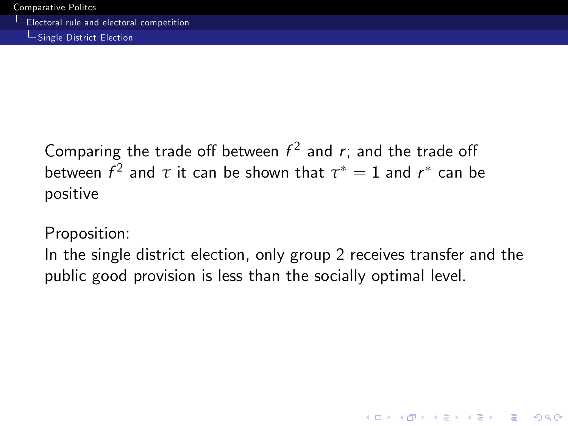Single District Election

Comparing the trade off between  $f^2$  and  $r$ ; and the trade off between  $f^2$  and  $\tau$  it can be shown that  $\tau^*=1$  and  $r^*$  can be positive

Proposition:

<span id="page-10-0"></span>In the single district election, only group 2 receives transfer and the public good provision is less than the socially optimal level.

**KORK STRATER STRAKER**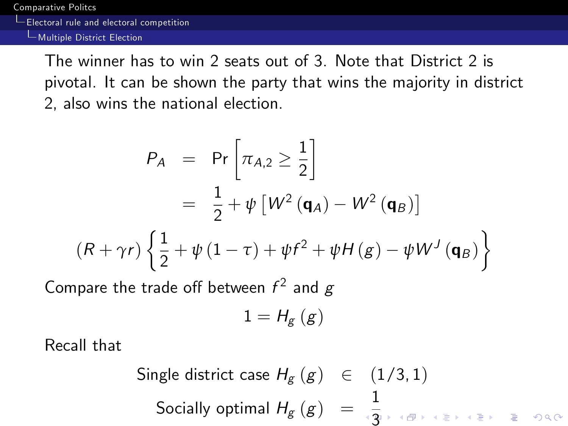Electoral rule and electoral competition

Multiple District Election

The winner has to win 2 seats out of 3. Note that District 2 is pivotal. It can be shown the party that wins the majority in district 2, also wins the national election.

$$
P_A = Pr\left[\pi_{A,2} \ge \frac{1}{2}\right]
$$
  
=  $\frac{1}{2} + \psi [W^2 (\mathbf{q}_A) - W^2 (\mathbf{q}_B)]$   

$$
(R + \gamma r) \left\{\frac{1}{2} + \psi (1 - \tau) + \psi f^2 + \psi H(g) - \psi W^J (\mathbf{q}_B)\right\}
$$

Compare the trade off between  $f^2$  and  $g$ 

$$
1=H_{g}\left( g\right)
$$

Recall that

Single district case H<sup>g</sup> (g) 2 (1/3, 1) Socially optimal H<sup>g</sup> (g) = 1 [3](#page-10-0)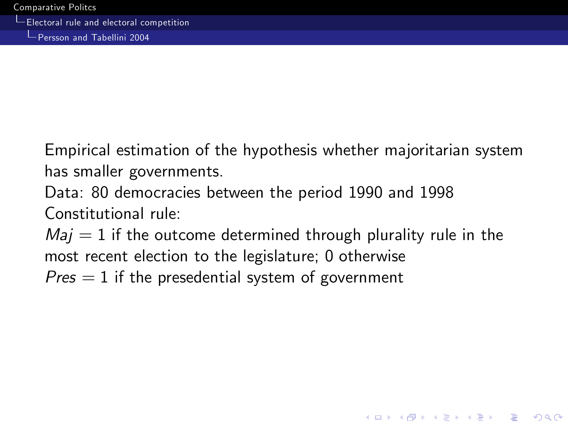Persson and Tabellini 2004

Empirical estimation of the hypothesis whether majoritarian system has smaller governments.

Data: 80 democracies between the period 1990 and 1998 Constitutional rule:

 $Maj = 1$  if the outcome determined through plurality rule in the most recent election to the legislature; 0 otherwise  $Pres = 1$  if the presedential system of government

**KORK STRATER STRAKER**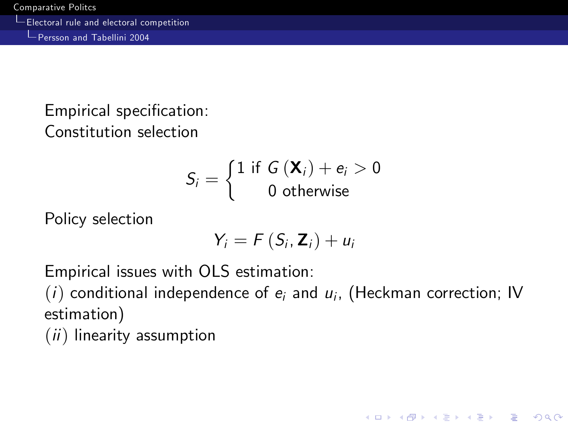Persson and Tabellini 2004

Empirical specification: Constitution selection

$$
S_i = \left\{ \begin{matrix} 1 \text{ if } G\left(\mathbf{X}_i\right) + e_i > 0 \\ 0 \text{ otherwise} \end{matrix} \right.
$$

Policy selection

$$
Y_i = F(S_i, \mathbf{Z}_i) + u_i
$$

Empirical issues with OLS estimation:

 $(i)$  conditional independence of  $e_i$  and  $u_i$ , (Heckman correction; IV estimation)

**KORK STRATER STRAKER** 

 $(ii)$  linearity assumption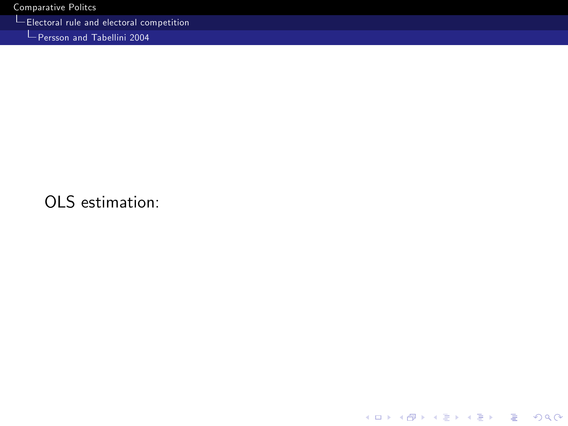Electoral rule and electoral competition

Persson and Tabellini 2004

## <span id="page-14-0"></span>OLS estimation: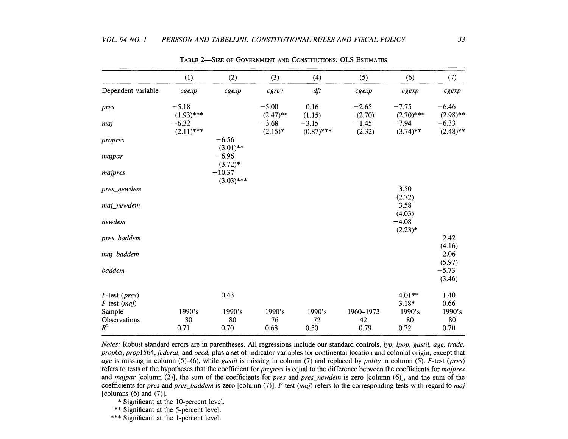|                    | (1)                     | (2)                                 | (3)                   | (4)                     | (5)               | (6)                    | (7)                    |
|--------------------|-------------------------|-------------------------------------|-----------------------|-------------------------|-------------------|------------------------|------------------------|
| Dependent variable | cgexp                   | cgexp                               | $c$ grev              | dft                     | cgexp             | cgexp                  | cgexp                  |
| pres               | $-5.18$                 |                                     | $-5.00$               | 0.16                    | $-2.65$           | $-7.75$                | $-6.46$                |
|                    | $(1.93)$ ***            |                                     | $(2.47)$ **           | (1.15)                  | (2.70)            | $(2.70)$ ***           | $(2.98)$ **            |
| maj                | $-6.32$<br>$(2.11)$ *** |                                     | $-3.68$<br>$(2.15)^*$ | $-3.15$<br>$(0.87)$ *** | $-1.45$<br>(2.32) | $-7.94$<br>$(3.74)$ ** | $-6.33$<br>$(2.48)$ ** |
| propres            |                         | $-6.56$                             |                       |                         |                   |                        |                        |
| majpar             |                         | $(3.01)$ **<br>$-6.96$<br>$(3.72)*$ |                       |                         |                   |                        |                        |
| majpres            |                         | $-10.37$<br>$(3.03)$ ***            |                       |                         |                   |                        |                        |
| pres_newdem        |                         |                                     |                       |                         |                   | 3.50<br>(2.72)         |                        |
| maj_newdem         |                         |                                     |                       |                         |                   | 3.58<br>(4.03)         |                        |
| newdem             |                         |                                     |                       |                         |                   | $-4.08$<br>$(2.23)*$   |                        |
| pres_baddem        |                         |                                     |                       |                         |                   |                        | 2.42<br>(4.16)         |
| maj_baddem         |                         |                                     |                       |                         |                   |                        | 2.06                   |
| baddem             |                         |                                     |                       |                         |                   |                        | (5.97)<br>$-5.73$      |
|                    |                         |                                     |                       |                         |                   |                        | (3.46)                 |
| $F$ -test (pres)   |                         | 0.43                                |                       |                         |                   | $4.01**$               | 1.40                   |
| $F$ -test $(maj)$  |                         |                                     |                       |                         |                   | $3.18*$                | 0.66                   |
| Sample             | 1990's                  | 1990's                              | 1990's                | 1990's                  | 1960-1973         | 1990's                 | 1990's                 |
| Observations       | 80                      | 80                                  | 76                    | 72                      | 42                | 80                     | 80                     |
| $R^2$              | 0.71                    | 0.70                                | 0.68                  | 0.50                    | 0.79              | 0.72                   | 0.70                   |

TABLE 2-SIZE OF GOVERNMENT AND CONSTITUTIONS: OLS ESTIMATES

Notes: Robust standard errors are in parentheses. All regressions include our standard controls, lyp, lpop, gastil, age, trade, prop65, prop1564, federal, and oecd, plus a set of indicator variables for continental location and colonial origin, except that age is missing in column  $(5)$ – $(6)$ , while gastil is missing in column  $(7)$  and replaced by polity in column  $(5)$ . F-test (pres) refers to tests of the hypotheses that the coefficient for *propres* is equal to the difference between the coefficients for *majpres* and *majpar* [column  $(2)$ ], the sum of the coefficients for *pres* and *pres\_newdem* is zero [column  $(6)$ ], and the sum of the coefficients for pres and pres\_baddem is zero [column  $(7)$ ]. F-test (maj) refers to the corresponding tests with regard to maj [columns  $(6)$  and  $(7)$ ].

- \* Significant at the 10-percent level.
- \*\* Significant at the 5-percent level.
- \*\*\* Significant at the 1-percent level.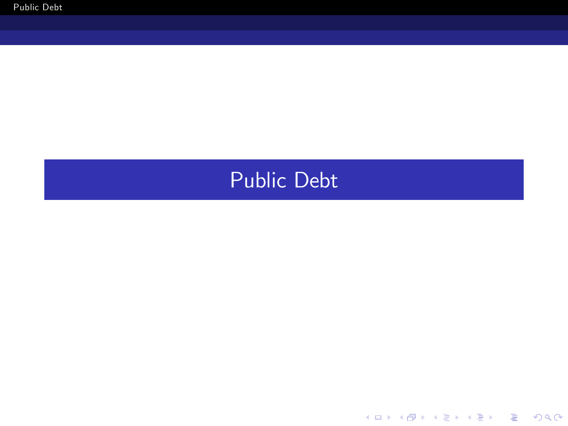## <span id="page-16-0"></span>Public Debt

K ロ K K (P) K (E) K (E) X (E) X (P) K (P)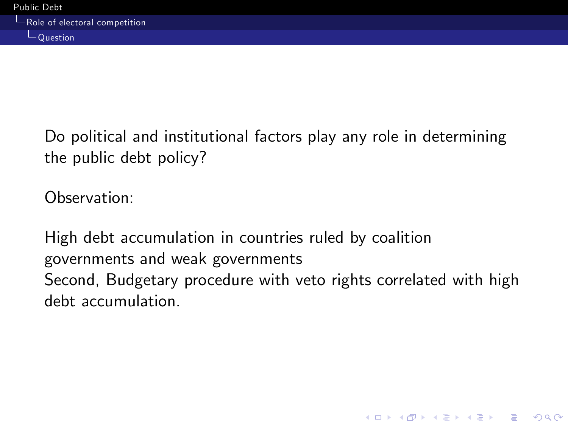Do political and institutional factors play any role in determining the public debt policy?

Observation:

<span id="page-17-0"></span>High debt accumulation in countries ruled by coalition governments and weak governments Second, Budgetary procedure with veto rights correlated with high debt accumulation.

**KORK STRATER STRAKER**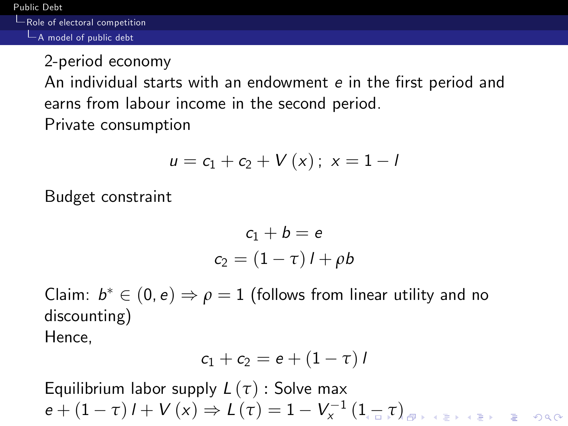Role of electoral competition

 $\Box$  A model of public debt

2-period economy

An individual starts with an endowment e in the first period and earns from labour income in the second period.

Private consumption

$$
u = c_1 + c_2 + V(x); x = 1 - I
$$

Budget constraint

$$
c_1 + b = e
$$
  

$$
c_2 = (1 - \tau) \, l + \rho b
$$

Claim:  $b^* \in (0, e) \Rightarrow \rho = 1$  (follows from linear utility and no discounting) Hence,

$$
c_1+c_2=e+(1-\tau)I
$$

<span id="page-18-0"></span>Equilibrium labor supply L (*τ*) : Solve max  $e + (1 - \tau) I + V(x) \Rightarrow L(\tau) = 1 - V_{x}^{-1} (1 - \tau)$  $e + (1 - \tau) I + V(x) \Rightarrow L(\tau) = 1 - V_{x}^{-1} (1 - \tau)$  $e + (1 - \tau) I + V(x) \Rightarrow L(\tau) = 1 - V_{x}^{-1} (1 - \tau)$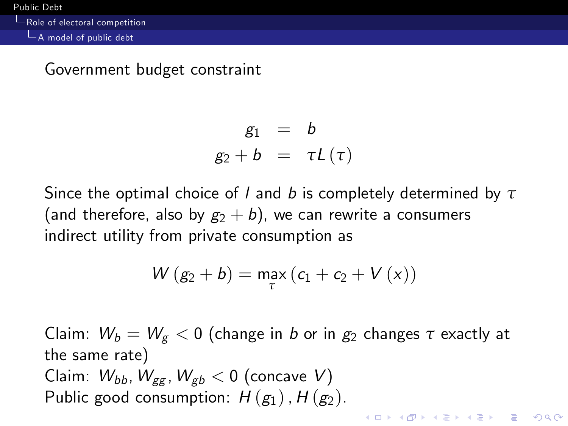Role of electoral competition

A model of public debt

### Government budget constraint

$$
g_1 = b
$$
  

$$
g_2 + b = \tau L(\tau)
$$

Since the optimal choice of l and b is completely determined by *τ* (and therefore, also by  $g_2 + b$ ), we can rewrite a consumers indirect utility from private consumption as

$$
W\left(g_2+b\right)=\underset{\tau}{\text{max}}\left(c_1+c_2+V\left(x\right)\right)
$$

<span id="page-19-0"></span>Claim:  $W_b = W_g < 0$  (change in b or in  $g_2$  changes  $\tau$  exactly at the same rate) Claim:  $W_{bb}$ ,  $W_{gg}$ ,  $W_{gb}$  < 0 (concave V) Public good consumption:  $H(g_1)$ ,  $H(g_2)$ .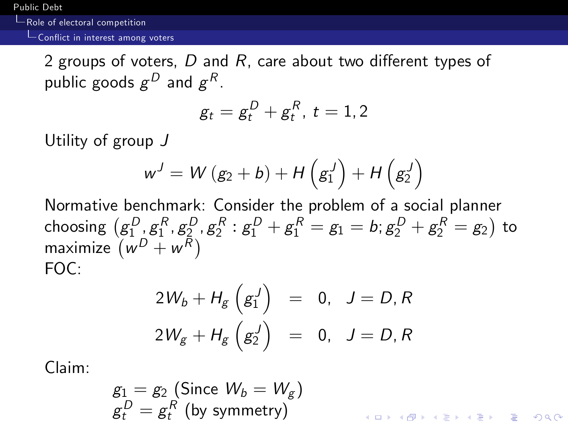[Public Debt](#page-16-0)

Role of electoral competition

#### $\overline{\phantom{a}}$  Conflict in interest among voters

2 groups of voters,  $D$  and  $R$ , care about two different types of public goods  $g^D$  and  $g^R$ .

$$
g_t=g_t^D+g_t^R,~t=1,2
$$

Utility of group J

$$
w^{J}=W\left(g_{2}+b\right)+H\left(g_{1}^{J}\right)+H\left(g_{2}^{J}\right)
$$

Normative benchmark: Consider the problem of a social planner choosing  $\big( g_1^D$  ,  $g_1^R$  ,  $g_2^D$  ,  $g_2^R$  :  $g_1^D+g_1^R=g_1=b; g_2^D+g_2^R=g_2 \big)$  to maximize  $\overline{w^D+w^R})$ FOC:

$$
2W_b + H_g \left(g_1^J\right) = 0, \quad J = D, R
$$
  

$$
2W_g + H_g \left(g_2^J\right) = 0, \quad J = D, R
$$

Claim:

$$
g_1 = g_2
$$
 (Since  $W_b = W_g$ )  
\n $g_t^D = g_t^R$  (by symmetry)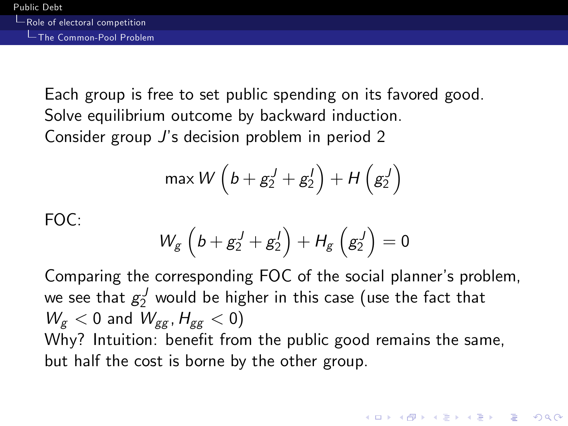Each group is free to set public spending on its favored good. Solve equilibrium outcome by backward induction. Consider group J's decision problem in period 2

$$
\max W\left(b+g_2^J+g_2^J\right)+H\left(g_2^J\right)
$$

FOC:

$$
W_g\left(b+g_2^J+g_2^J\right)+H_g\left(g_2^J\right)=0
$$

Comparing the corresponding FOC of the social planner's problem, we see that  $g_2^J$  would be higher in this case (use the fact that  $W_{\sigma}$  < 0 and  $W_{\sigma\sigma}$ ,  $H_{\sigma\sigma}$  < 0) Why? Intuition: benefit from the public good remains the same, but half the cost is borne by the other group.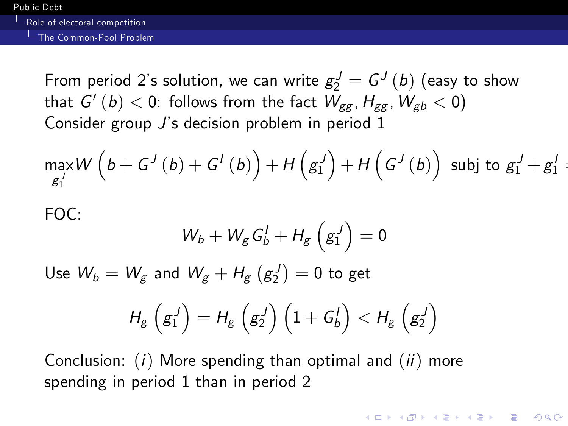Role of electoral competition

### The Common-Pool Problem

From period 2's solution, we can write  $g_2^J = G^J\left(b\right)$  (easy to show that  $\mathsf{G}'\left( b\right) <0$ : follows from the fact  $\mathsf{\left. W_{gg}\text{, }H_{gg}\text{, }W_{gb}<0\right) }$ Consider group J's decision problem in period 1

$$
\max_{g_1^J} W\left(b+G^J\left(b\right)+G^I\left(b\right)\right)+H\left(g_1^J\right)+H\left(G^J\left(b\right)\right) \text{ subj to } g_1^J+g_1^J=
$$

FOC:

$$
W_b + W_g\, G_b^I + H_g\left(g_1^J\right) = 0
$$

Use  $W_b=W_{\!(\beta\!)}$  and  $W_{\!(\beta\!)}+H_{\!(\beta\!)}\left({\bf g}_2^J\right)=0$  to get

$$
H_g\left(g_1^J\right)=H_g\left(g_2^J\right)\left(1+G_b^I\right)
$$

**KORK EXTERICATES** 

Conclusion:  $(i)$  More spending than optimal and  $(ii)$  more spending in period 1 than in period 2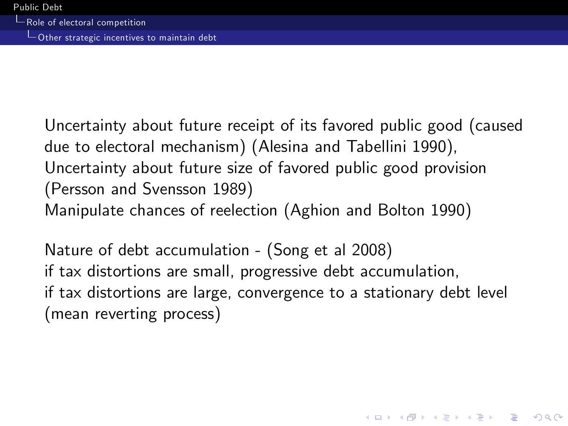Other strategic incentives to maintain debt

Uncertainty about future receipt of its favored public good (caused due to electoral mechanism) (Alesina and Tabellini 1990), Uncertainty about future size of favored public good provision (Persson and Svensson 1989) Manipulate chances of reelection (Aghion and Bolton 1990)

Nature of debt accumulation - (Song et al 2008) if tax distortions are small, progressive debt accumulation, if tax distortions are large, convergence to a stationary debt level (mean reverting process)

**KORK EXTERICATES**